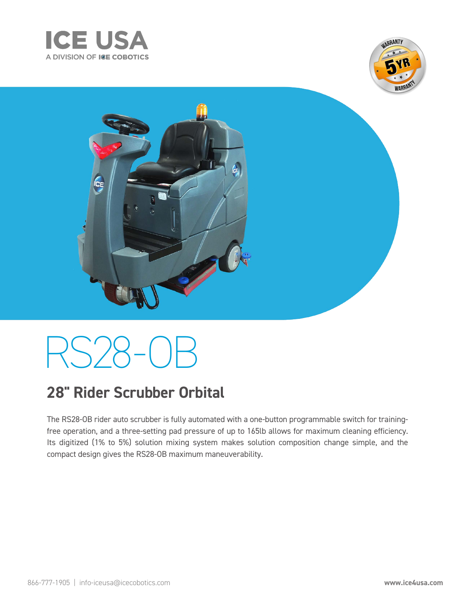





# RS 28-0F

### **28" Rider Scrubber Orbital**

The RS28-OB rider auto scrubber is fully automated with a one-button programmable switch for trainingfree operation, and a three-setting pad pressure of up to 165lb allows for maximum cleaning efficiency. Its digitized (1% to 5%) solution mixing system makes solution composition change simple, and the compact design gives the RS28-OB maximum maneuverability.